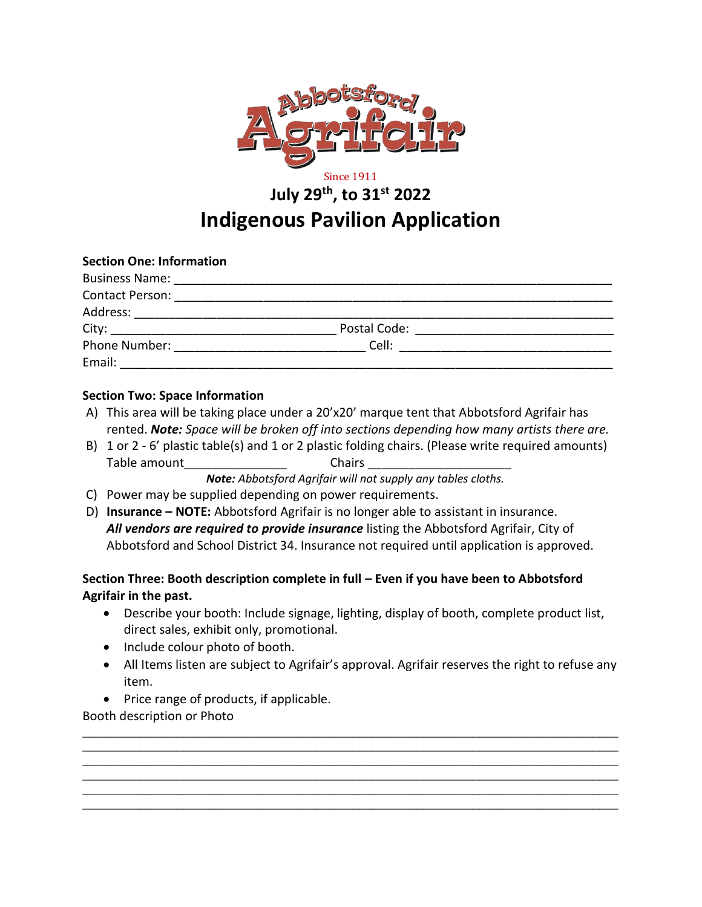

# Since 1911 **July 29th, to 31st 2022 Indigenous Pavilion Application**

| <b>Section One: Information</b>                                                                                                                                                                                                     |              |                                                                                                                            |
|-------------------------------------------------------------------------------------------------------------------------------------------------------------------------------------------------------------------------------------|--------------|----------------------------------------------------------------------------------------------------------------------------|
|                                                                                                                                                                                                                                     |              |                                                                                                                            |
|                                                                                                                                                                                                                                     |              |                                                                                                                            |
|                                                                                                                                                                                                                                     |              |                                                                                                                            |
|                                                                                                                                                                                                                                     | Postal Code: | <u> 1980 - Jan Jan Jawa Barat, masjid a shekara 1980 - Ang Barat ng Barat ng Barat ng Barat ng Barat ng Barat ng Barat</u> |
| <b>Phone Number:</b> The Company of the Company of the Company of the Company of the Company of the Company of the Company of the Company of the Company of the Company of the Company of the Company of the Company of the Company | Cell:        |                                                                                                                            |
| Email:                                                                                                                                                                                                                              |              |                                                                                                                            |

#### **Section Two: Space Information**

- A) This area will be taking place under a 20'x20' marque tent that Abbotsford Agrifair has rented. *Note: Space will be broken off into sections depending how many artists there are.*
- B) 1 or 2 6' plastic table(s) and 1 or 2 plastic folding chairs. (Please write required amounts) Table amount **The Chairs Chairs Executes** Chairs **Chairs** 2014

*Note: Abbotsford Agrifair will not supply any tables cloths.* 

- C) Power may be supplied depending on power requirements.
- D) **Insurance – NOTE:** Abbotsford Agrifair is no longer able to assistant in insurance. *All vendors are required to provide insurance* listing the Abbotsford Agrifair, City of Abbotsford and School District 34. Insurance not required until application is approved.

### **Section Three: Booth description complete in full – Even if you have been to Abbotsford Agrifair in the past.**

- Describe your booth: Include signage, lighting, display of booth, complete product list, direct sales, exhibit only, promotional.
- Include colour photo of booth.
- All Items listen are subject to Agrifair's approval. Agrifair reserves the right to refuse any item.

\_\_\_\_\_\_\_\_\_\_\_\_\_\_\_\_\_\_\_\_\_\_\_\_\_\_\_\_\_\_\_\_\_\_\_\_\_\_\_\_\_\_\_\_\_\_\_\_\_\_\_\_\_\_\_\_\_\_\_\_\_\_\_\_\_\_\_\_\_\_\_\_\_\_\_\_\_\_\_\_\_\_\_\_\_ \_\_\_\_\_\_\_\_\_\_\_\_\_\_\_\_\_\_\_\_\_\_\_\_\_\_\_\_\_\_\_\_\_\_\_\_\_\_\_\_\_\_\_\_\_\_\_\_\_\_\_\_\_\_\_\_\_\_\_\_\_\_\_\_\_\_\_\_\_\_\_\_\_\_\_\_\_\_\_\_\_\_\_\_\_ \_\_\_\_\_\_\_\_\_\_\_\_\_\_\_\_\_\_\_\_\_\_\_\_\_\_\_\_\_\_\_\_\_\_\_\_\_\_\_\_\_\_\_\_\_\_\_\_\_\_\_\_\_\_\_\_\_\_\_\_\_\_\_\_\_\_\_\_\_\_\_\_\_\_\_\_\_\_\_\_\_\_\_\_\_ \_\_\_\_\_\_\_\_\_\_\_\_\_\_\_\_\_\_\_\_\_\_\_\_\_\_\_\_\_\_\_\_\_\_\_\_\_\_\_\_\_\_\_\_\_\_\_\_\_\_\_\_\_\_\_\_\_\_\_\_\_\_\_\_\_\_\_\_\_\_\_\_\_\_\_\_\_\_\_\_\_\_\_\_\_ \_\_\_\_\_\_\_\_\_\_\_\_\_\_\_\_\_\_\_\_\_\_\_\_\_\_\_\_\_\_\_\_\_\_\_\_\_\_\_\_\_\_\_\_\_\_\_\_\_\_\_\_\_\_\_\_\_\_\_\_\_\_\_\_\_\_\_\_\_\_\_\_\_\_\_\_\_\_\_\_\_\_\_\_\_ \_\_\_\_\_\_\_\_\_\_\_\_\_\_\_\_\_\_\_\_\_\_\_\_\_\_\_\_\_\_\_\_\_\_\_\_\_\_\_\_\_\_\_\_\_\_\_\_\_\_\_\_\_\_\_\_\_\_\_\_\_\_\_\_\_\_\_\_\_\_\_\_\_\_\_\_\_\_\_\_\_\_\_\_\_

• Price range of products, if applicable.

Booth description or Photo